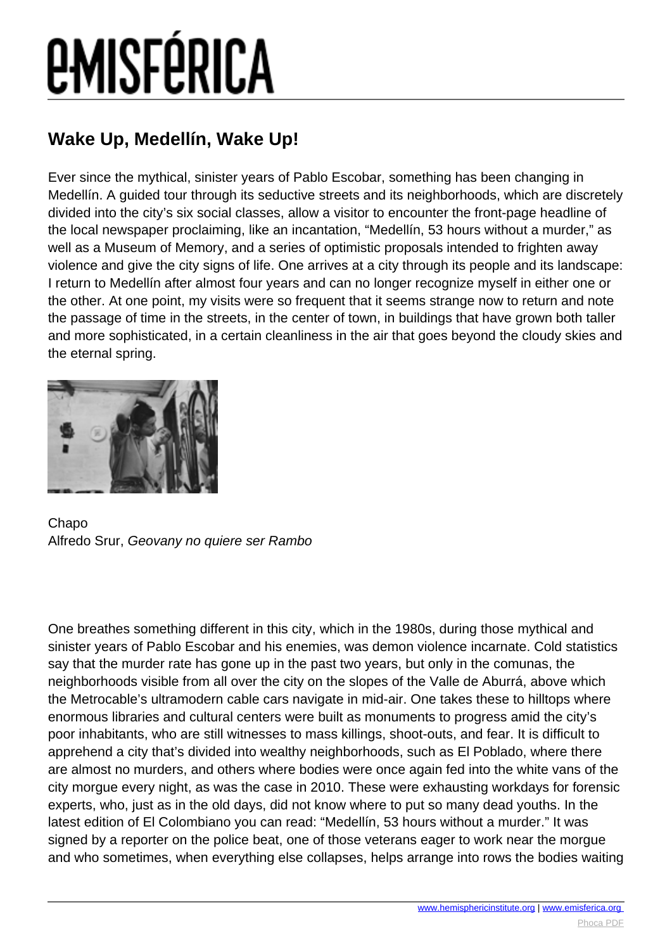# **EMISFÉRICA**

### **Wake Up, Medellín, Wake Up!**

Ever since the mythical, sinister years of Pablo Escobar, something has been changing in Medellín. A guided tour through its seductive streets and its neighborhoods, which are discretely divided into the city's six social classes, allow a visitor to encounter the front-page headline of the local newspaper proclaiming, like an incantation, "Medellín, 53 hours without a murder," as well as a Museum of Memory, and a series of optimistic proposals intended to frighten away violence and give the city signs of life. One arrives at a city through its people and its landscape: I return to Medellín after almost four years and can no longer recognize myself in either one or the other. At one point, my visits were so frequent that it seems strange now to return and note the passage of time in the streets, in the center of town, in buildings that have grown both taller and more sophisticated, in a certain cleanliness in the air that goes beyond the cloudy skies and the eternal spring.



Chapo Alfredo Srur, Geovany no quiere ser Rambo

One breathes something different in this city, which in the 1980s, during those mythical and sinister years of Pablo Escobar and his enemies, was demon violence incarnate. Cold statistics say that the murder rate has gone up in the past two years, but only in the comunas, the neighborhoods visible from all over the city on the slopes of the Valle de Aburrá, above which the Metrocable's ultramodern cable cars navigate in mid-air. One takes these to hilltops where enormous libraries and cultural centers were built as monuments to progress amid the city's poor inhabitants, who are still witnesses to mass killings, shoot-outs, and fear. It is difficult to apprehend a city that's divided into wealthy neighborhoods, such as El Poblado, where there are almost no murders, and others where bodies were once again fed into the white vans of the city morgue every night, as was the case in 2010. These were exhausting workdays for forensic experts, who, just as in the old days, did not know where to put so many dead youths. In the latest edition of El Colombiano you can read: "Medellín, 53 hours without a murder." It was signed by a reporter on the police beat, one of those veterans eager to work near the morgue and who sometimes, when everything else collapses, helps arrange into rows the bodies waiting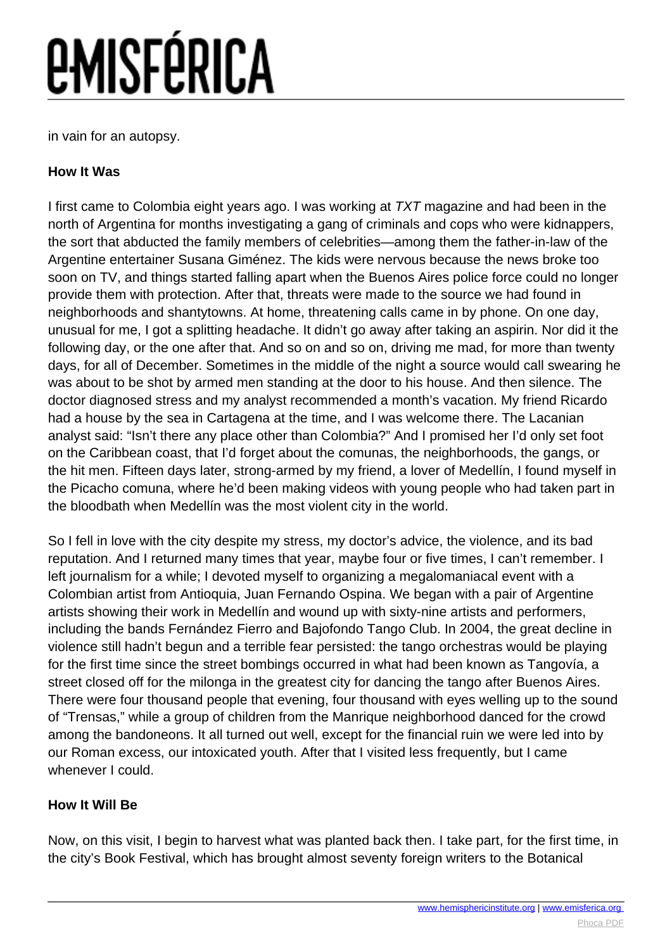## *<u>EMISFÉRICA</u>*

in vain for an autopsy.

#### **How It Was**

I first came to Colombia eight years ago. I was working at TXT magazine and had been in the north of Argentina for months investigating a gang of criminals and cops who were kidnappers, the sort that abducted the family members of celebrities—among them the father-in-law of the Argentine entertainer Susana Giménez. The kids were nervous because the news broke too soon on TV, and things started falling apart when the Buenos Aires police force could no longer provide them with protection. After that, threats were made to the source we had found in neighborhoods and shantytowns. At home, threatening calls came in by phone. On one day, unusual for me, I got a splitting headache. It didn't go away after taking an aspirin. Nor did it the following day, or the one after that. And so on and so on, driving me mad, for more than twenty days, for all of December. Sometimes in the middle of the night a source would call swearing he was about to be shot by armed men standing at the door to his house. And then silence. The doctor diagnosed stress and my analyst recommended a month's vacation. My friend Ricardo had a house by the sea in Cartagena at the time, and I was welcome there. The Lacanian analyst said: "Isn't there any place other than Colombia?" And I promised her I'd only set foot on the Caribbean coast, that I'd forget about the comunas, the neighborhoods, the gangs, or the hit men. Fifteen days later, strong-armed by my friend, a lover of Medellín, I found myself in the Picacho comuna, where he'd been making videos with young people who had taken part in the bloodbath when Medellín was the most violent city in the world.

So I fell in love with the city despite my stress, my doctor's advice, the violence, and its bad reputation. And I returned many times that year, maybe four or five times, I can't remember. I left journalism for a while; I devoted myself to organizing a megalomaniacal event with a Colombian artist from Antioquia, Juan Fernando Ospina. We began with a pair of Argentine artists showing their work in Medellín and wound up with sixty-nine artists and performers, including the bands Fernández Fierro and Bajofondo Tango Club. In 2004, the great decline in violence still hadn't begun and a terrible fear persisted: the tango orchestras would be playing for the first time since the street bombings occurred in what had been known as Tangovía, a street closed off for the milonga in the greatest city for dancing the tango after Buenos Aires. There were four thousand people that evening, four thousand with eyes welling up to the sound of "Trensas," while a group of children from the Manrique neighborhood danced for the crowd among the bandoneons. It all turned out well, except for the financial ruin we were led into by our Roman excess, our intoxicated youth. After that I visited less frequently, but I came whenever I could.

#### **How It Will Be**

Now, on this visit, I begin to harvest what was planted back then. I take part, for the first time, in the city's Book Festival, which has brought almost seventy foreign writers to the Botanical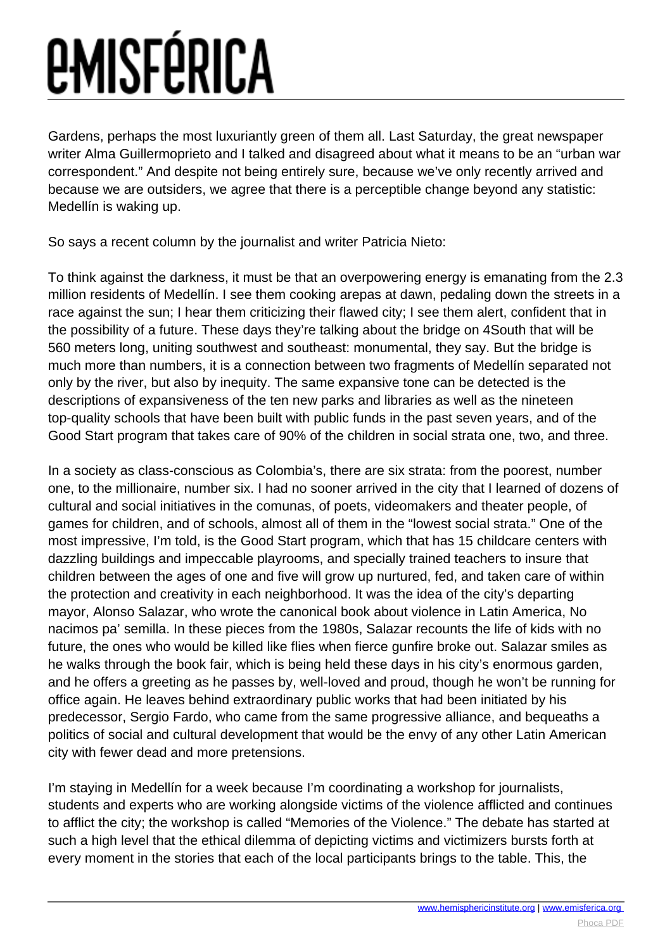## *<u>EMISFÉRICA</u>*

Gardens, perhaps the most luxuriantly green of them all. Last Saturday, the great newspaper writer Alma Guillermoprieto and I talked and disagreed about what it means to be an "urban war correspondent." And despite not being entirely sure, because we've only recently arrived and because we are outsiders, we agree that there is a perceptible change beyond any statistic: Medellín is waking up.

So says a recent column by the journalist and writer Patricia Nieto:

To think against the darkness, it must be that an overpowering energy is emanating from the 2.3 million residents of Medellín. I see them cooking arepas at dawn, pedaling down the streets in a race against the sun; I hear them criticizing their flawed city; I see them alert, confident that in the possibility of a future. These days they're talking about the bridge on 4South that will be 560 meters long, uniting southwest and southeast: monumental, they say. But the bridge is much more than numbers, it is a connection between two fragments of Medellín separated not only by the river, but also by inequity. The same expansive tone can be detected is the descriptions of expansiveness of the ten new parks and libraries as well as the nineteen top-quality schools that have been built with public funds in the past seven years, and of the Good Start program that takes care of 90% of the children in social strata one, two, and three.

In a society as class-conscious as Colombia's, there are six strata: from the poorest, number one, to the millionaire, number six. I had no sooner arrived in the city that I learned of dozens of cultural and social initiatives in the comunas, of poets, videomakers and theater people, of games for children, and of schools, almost all of them in the "lowest social strata." One of the most impressive, I'm told, is the Good Start program, which that has 15 childcare centers with dazzling buildings and impeccable playrooms, and specially trained teachers to insure that children between the ages of one and five will grow up nurtured, fed, and taken care of within the protection and creativity in each neighborhood. It was the idea of the city's departing mayor, Alonso Salazar, who wrote the canonical book about violence in Latin America, No nacimos pa' semilla. In these pieces from the 1980s, Salazar recounts the life of kids with no future, the ones who would be killed like flies when fierce gunfire broke out. Salazar smiles as he walks through the book fair, which is being held these days in his city's enormous garden, and he offers a greeting as he passes by, well-loved and proud, though he won't be running for office again. He leaves behind extraordinary public works that had been initiated by his predecessor, Sergio Fardo, who came from the same progressive alliance, and bequeaths a politics of social and cultural development that would be the envy of any other Latin American city with fewer dead and more pretensions.

I'm staying in Medellín for a week because I'm coordinating a workshop for journalists, students and experts who are working alongside victims of the violence afflicted and continues to afflict the city; the workshop is called "Memories of the Violence." The debate has started at such a high level that the ethical dilemma of depicting victims and victimizers bursts forth at every moment in the stories that each of the local participants brings to the table. This, the